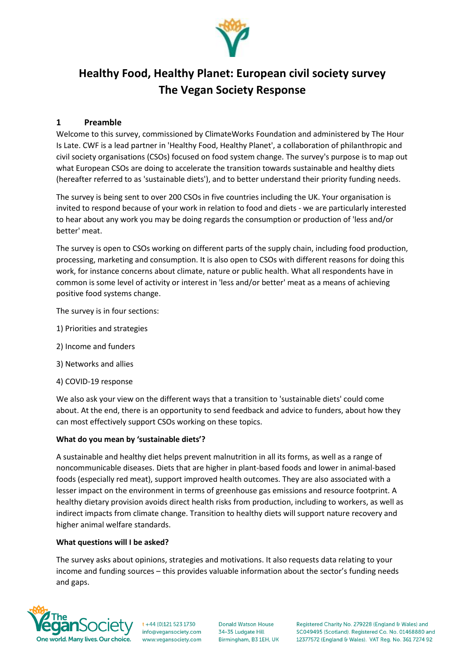

# **Healthy Food, Healthy Planet: European civil society survey The Vegan Society Response**

## **1 Preamble**

Welcome to this survey, commissioned by ClimateWorks Foundation and administered by The Hour Is Late. CWF is a lead partner in 'Healthy Food, Healthy Planet', a collaboration of philanthropic and civil society organisations (CSOs) focused on food system change. The survey's purpose is to map out what European CSOs are doing to accelerate the transition towards sustainable and healthy diets (hereafter referred to as 'sustainable diets'), and to better understand their priority funding needs.

The survey is being sent to over 200 CSOs in five countries including the UK. Your organisation is invited to respond because of your work in relation to food and diets - we are particularly interested to hear about any work you may be doing regards the consumption or production of 'less and/or better' meat.

The survey is open to CSOs working on different parts of the supply chain, including food production, processing, marketing and consumption. It is also open to CSOs with different reasons for doing this work, for instance concerns about climate, nature or public health. What all respondents have in common is some level of activity or interest in 'less and/or better' meat as a means of achieving positive food systems change.

The survey is in four sections:

- 1) Priorities and strategies
- 2) Income and funders
- 3) Networks and allies
- 4) COVID-19 response

We also ask your view on the different ways that a transition to 'sustainable diets' could come about. At the end, there is an opportunity to send feedback and advice to funders, about how they can most effectively support CSOs working on these topics.

#### **What do you mean by 'sustainable diets'?**

A sustainable and healthy diet helps prevent malnutrition in all its forms, as well as a range of noncommunicable diseases. Diets that are higher in plant-based foods and lower in animal-based foods (especially red meat), support improved health outcomes. They are also associated with a lesser impact on the environment in terms of greenhouse gas emissions and resource footprint. A healthy dietary provision avoids direct health risks from production, including to workers, as well as indirect impacts from climate change. Transition to healthy diets will support nature recovery and higher animal welfare standards.

#### **What questions will I be asked?**

The survey asks about opinions, strategies and motivations. It also requests data relating to your income and funding sources – this provides valuable information about the sector's funding needs and gaps.



 $t + 44$  (0)121 523 1730 info@vegansociety.com www.vegansociety.com

**Donald Watson House** 34-35 Ludgate Hill Birmingham, B3 1EH, UK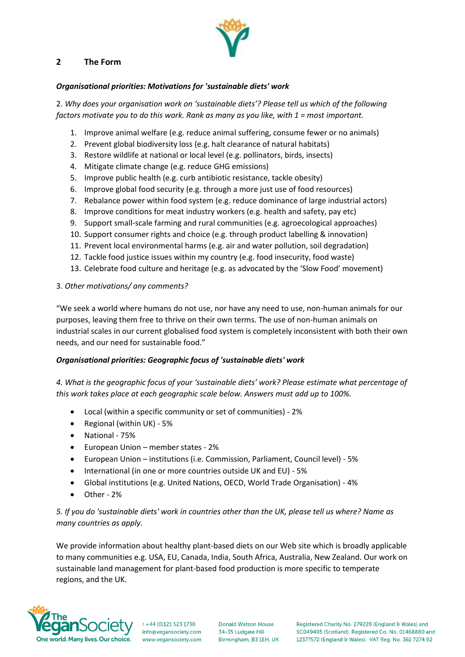## **2 The Form**

#### *Organisational priorities: Motivations for 'sustainable diets' work*

2. *Why does your organisation work on 'sustainable diets'? Please tell us which of the following factors motivate you to do this work. Rank as many as you like, with 1 = most important.* 

- 1. Improve animal welfare (e.g. reduce animal suffering, consume fewer or no animals)
- 2. Prevent global biodiversity loss (e.g. halt clearance of natural habitats)
- 3. Restore wildlife at national or local level (e.g. pollinators, birds, insects)
- 4. Mitigate climate change (e.g. reduce GHG emissions)
- 5. Improve public health (e.g. curb antibiotic resistance, tackle obesity)
- 6. Improve global food security (e.g. through a more just use of food resources)
- 7. Rebalance power within food system (e.g. reduce dominance of large industrial actors)
- 8. Improve conditions for meat industry workers (e.g. health and safety, pay etc)
- 9. Support small-scale farming and rural communities (e.g. agroecological approaches)
- 10. Support consumer rights and choice (e.g. through product labelling & innovation)
- 11. Prevent local environmental harms (e.g. air and water pollution, soil degradation)
- 12. Tackle food justice issues within my country (e.g. food insecurity, food waste)
- 13. Celebrate food culture and heritage (e.g. as advocated by the 'Slow Food' movement)

#### 3. *Other motivations/ any comments?*

"We seek a world where humans do not use, nor have any need to use, non-human animals for our purposes, leaving them free to thrive on their own terms. The use of non-human animals on industrial scales in our current globalised food system is completely inconsistent with both their own needs, and our need for sustainable food."

#### *Organisational priorities: Geographic focus of 'sustainable diets' work*

*4. What is the geographic focus of your 'sustainable diets' work? Please estimate what percentage of this work takes place at each geographic scale below. Answers must add up to 100%.*

- Local (within a specific community or set of communities) 2%
- Regional (within UK) 5%
- National 75%
- European Union member states 2%
- European Union institutions (i.e. Commission, Parliament, Council level) 5%
- International (in one or more countries outside UK and EU) 5%
- Global institutions (e.g. United Nations, OECD, World Trade Organisation) 4%
- Other 2%

## *5. If you do 'sustainable diets' work in countries other than the UK, please tell us where? Name as many countries as apply.*

We provide information about healthy plant-based diets on our Web site which is broadly applicable to many communities e.g. USA, EU, Canada, India, South Africa, Australia, New Zealand. Our work on sustainable land management for plant-based food production is more specific to temperate regions, and the UK.



t +44 (0)121 523 1730 info@vegansociety.com www.vegansociety.com

**Donald Watson House** 34-35 Ludgate Hill Birmingham, B3 1EH, UK

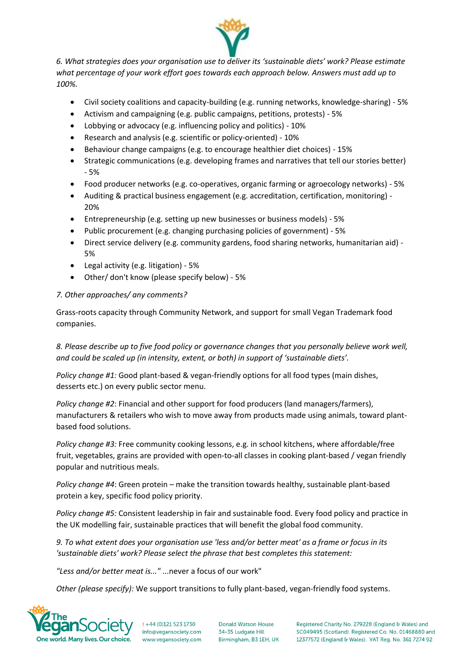

*6. What strategies does your organisation use to deliver its 'sustainable diets' work? Please estimate what percentage of your work effort goes towards each approach below. Answers must add up to 100%.*

- Civil society coalitions and capacity-building (e.g. running networks, knowledge-sharing) 5%
- Activism and campaigning (e.g. public campaigns, petitions, protests) 5%
- Lobbying or advocacy (e.g. influencing policy and politics) 10%
- Research and analysis (e.g. scientific or policy-oriented) 10%
- Behaviour change campaigns (e.g. to encourage healthier diet choices) 15%
- Strategic communications (e.g. developing frames and narratives that tell our stories better) - 5%
- Food producer networks (e.g. co-operatives, organic farming or agroecology networks) 5%
- Auditing & practical business engagement (e.g. accreditation, certification, monitoring) 20%
- Entrepreneurship (e.g. setting up new businesses or business models) 5%
- Public procurement (e.g. changing purchasing policies of government) 5%
- Direct service delivery (e.g. community gardens, food sharing networks, humanitarian aid) 5%
- Legal activity (e.g. litigation) 5%
- Other/ don't know (please specify below) 5%

## *7. Other approaches/ any comments?*

Grass-roots capacity through Community Network, and support for small Vegan Trademark food companies.

*8. Please describe up to five food policy or governance changes that you personally believe work well, and could be scaled up (in intensity, extent, or both) in support of 'sustainable diets'.*

*Policy change #1:* Good plant-based & vegan-friendly options for all food types (main dishes, desserts etc.) on every public sector menu.

*Policy change #2*: Financial and other support for food producers (land managers/farmers), manufacturers & retailers who wish to move away from products made using animals, toward plantbased food solutions.

*Policy change #3:* Free community cooking lessons, e.g. in school kitchens, where affordable/free fruit, vegetables, grains are provided with open-to-all classes in cooking plant-based / vegan friendly popular and nutritious meals.

*Policy change #4*: Green protein – make the transition towards healthy, sustainable plant-based protein a key, specific food policy priority.

*Policy change #5:* Consistent leadership in fair and sustainable food. Every food policy and practice in the UK modelling fair, sustainable practices that will benefit the global food community.

*9. To what extent does your organisation use 'less and/or better meat' as a frame or focus in its 'sustainable diets' work? Please select the phrase that best completes this statement:*

*"Less and/or better meat is..."* ...never a focus of our work"

*Other (please specify):* We support transitions to fully plant-based, vegan-friendly food systems.



 $t + 44$  (0)121 523 1730 info@vegansociety.com www.yegansociety.com

**Donald Watson House** 34-35 Ludgate Hill Birmingham, B3 1EH, UK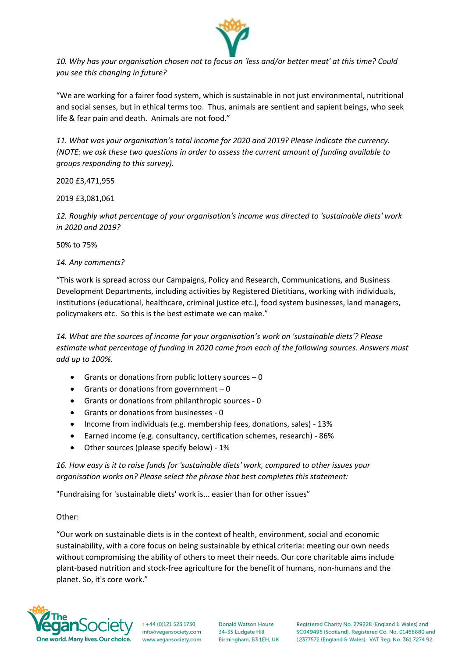

*10. Why has your organisation chosen not to focus on 'less and/or better meat' at this time? Could you see this changing in future?*

"We are working for a fairer food system, which is sustainable in not just environmental, nutritional and social senses, but in ethical terms too. Thus, animals are sentient and sapient beings, who seek life & fear pain and death. Animals are not food."

*11. What was your organisation's total income for 2020 and 2019? Please indicate the currency. (NOTE: we ask these two questions in order to assess the current amount of funding available to groups responding to this survey).*

2020 £3,471,955

2019 £3,081,061

*12. Roughly what percentage of your organisation's income was directed to 'sustainable diets' work in 2020 and 2019?*

50% to 75%

*14. Any comments?*

"This work is spread across our Campaigns, Policy and Research, Communications, and Business Development Departments, including activities by Registered Dietitians, working with individuals, institutions (educational, healthcare, criminal justice etc.), food system businesses, land managers, policymakers etc. So this is the best estimate we can make."

*14. What are the sources of income for your organisation's work on 'sustainable diets'? Please estimate what percentage of funding in 2020 came from each of the following sources. Answers must add up to 100%.*

- Grants or donations from public lottery sources  $-0$
- Grants or donations from government 0
- Grants or donations from philanthropic sources 0
- Grants or donations from businesses 0
- Income from individuals (e.g. membership fees, donations, sales) 13%
- Earned income (e.g. consultancy, certification schemes, research) 86%
- Other sources (please specify below) 1%

*16. How easy is it to raise funds for 'sustainable diets' work, compared to other issues your organisation works on? Please select the phrase that best completes this statement:*

"Fundraising for 'sustainable diets' work is... easier than for other issues"

Other:

"Our work on sustainable diets is in the context of health, environment, social and economic sustainability, with a core focus on being sustainable by ethical criteria: meeting our own needs without compromising the ability of others to meet their needs. Our core charitable aims include plant-based nutrition and stock-free agriculture for the benefit of humans, non-humans and the planet. So, it's core work."



t +44 (0)121 523 1730 info@vegansociety.com www.vegansociety.com

**Donald Watson House** 34-35 Ludgate Hill Birmingham, B3 1EH, UK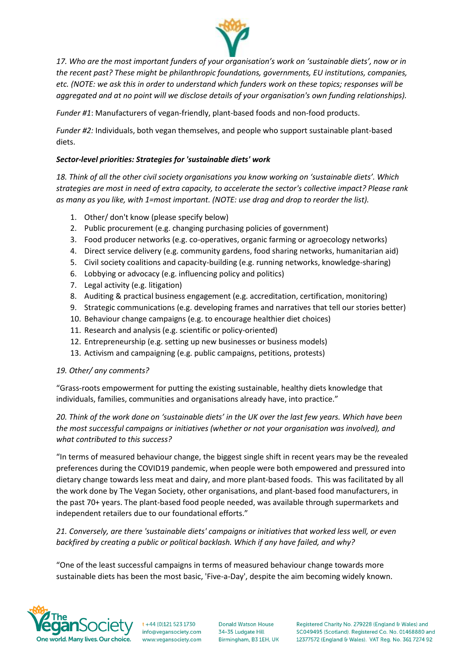

*17. Who are the most important funders of your organisation's work on 'sustainable diets', now or in the recent past? These might be philanthropic foundations, governments, EU institutions, companies, etc. (NOTE: we ask this in order to understand which funders work on these topics; responses will be aggregated and at no point will we disclose details of your organisation's own funding relationships).*

*Funder #1*: Manufacturers of vegan-friendly, plant-based foods and non-food products.

*Funder #2:* Individuals, both vegan themselves, and people who support sustainable plant-based diets.

## *Sector-level priorities: Strategies for 'sustainable diets' work*

*18. Think of all the other civil society organisations you know working on 'sustainable diets'. Which strategies are most in need of extra capacity, to accelerate the sector's collective impact? Please rank as many as you like, with 1=most important. (NOTE: use drag and drop to reorder the list).*

- 1. Other/ don't know (please specify below)
- 2. Public procurement (e.g. changing purchasing policies of government)
- 3. Food producer networks (e.g. co-operatives, organic farming or agroecology networks)
- 4. Direct service delivery (e.g. community gardens, food sharing networks, humanitarian aid)
- 5. Civil society coalitions and capacity-building (e.g. running networks, knowledge-sharing)
- 6. Lobbying or advocacy (e.g. influencing policy and politics)
- 7. Legal activity (e.g. litigation)
- 8. Auditing & practical business engagement (e.g. accreditation, certification, monitoring)
- 9. Strategic communications (e.g. developing frames and narratives that tell our stories better)
- 10. Behaviour change campaigns (e.g. to encourage healthier diet choices)
- 11. Research and analysis (e.g. scientific or policy-oriented)
- 12. Entrepreneurship (e.g. setting up new businesses or business models)
- 13. Activism and campaigning (e.g. public campaigns, petitions, protests)

## *19. Other/ any comments?*

"Grass-roots empowerment for putting the existing sustainable, healthy diets knowledge that individuals, families, communities and organisations already have, into practice."

*20. Think of the work done on 'sustainable diets' in the UK over the last few years. Which have been the most successful campaigns or initiatives (whether or not your organisation was involved), and what contributed to this success?*

"In terms of measured behaviour change, the biggest single shift in recent years may be the revealed preferences during the COVID19 pandemic, when people were both empowered and pressured into dietary change towards less meat and dairy, and more plant-based foods. This was facilitated by all the work done by The Vegan Society, other organisations, and plant-based food manufacturers, in the past 70+ years. The plant-based food people needed, was available through supermarkets and independent retailers due to our foundational efforts."

*21. Conversely, are there 'sustainable diets' campaigns or initiatives that worked less well, or even backfired by creating a public or political backlash. Which if any have failed, and why?*

"One of the least successful campaigns in terms of measured behaviour change towards more sustainable diets has been the most basic, 'Five-a-Day', despite the aim becoming widely known.



 $t + 44$  (0)121 523 1730 info@vegansociety.com www.vegansociety.com

**Donald Watson House** 34-35 Ludgate Hill Birmingham, B3 1EH, UK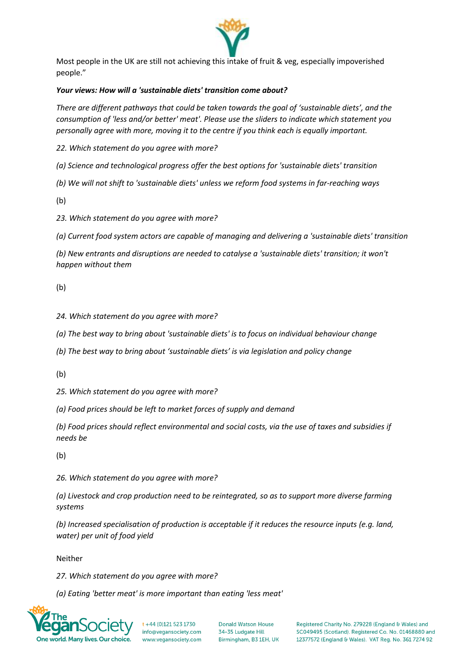

Most people in the UK are still not achieving this intake of fruit & veg, especially impoverished people."

## *Your views: How will a 'sustainable diets' transition come about?*

*There are different pathways that could be taken towards the goal of 'sustainable diets', and the consumption of 'less and/or better' meat'. Please use the sliders to indicate which statement you personally agree with more, moving it to the centre if you think each is equally important.*

*22. Which statement do you agree with more?*

*(a) Science and technological progress offer the best options for 'sustainable diets' transition*

*(b) We will not shift to 'sustainable diets' unless we reform food systems in far-reaching ways*

(b)

*23. Which statement do you agree with more?*

*(a) Current food system actors are capable of managing and delivering a 'sustainable diets' transition*

*(b) New entrants and disruptions are needed to catalyse a 'sustainable diets' transition; it won't happen without them*

(b)

*24. Which statement do you agree with more?*

*(a) The best way to bring about 'sustainable diets' is to focus on individual behaviour change*

*(b) The best way to bring about 'sustainable diets' is via legislation and policy change*

(b)

*25. Which statement do you agree with more?*

*(a) Food prices should be left to market forces of supply and demand*

*(b) Food prices should reflect environmental and social costs, via the use of taxes and subsidies if needs be*

(b)

*26. Which statement do you agree with more?*

*(a) Livestock and crop production need to be reintegrated, so as to support more diverse farming systems*

*(b) Increased specialisation of production is acceptable if it reduces the resource inputs (e.g. land, water) per unit of food yield*

Neither

*27. Which statement do you agree with more?*

*(a) Eating 'better meat' is more important than eating 'less meat'*



 $t + 44$  (0)121 523 1730 info@vegansociety.com www.yegansociety.com

**Donald Watson House** 34-35 Ludgate Hill Birmingham, B3 1EH, UK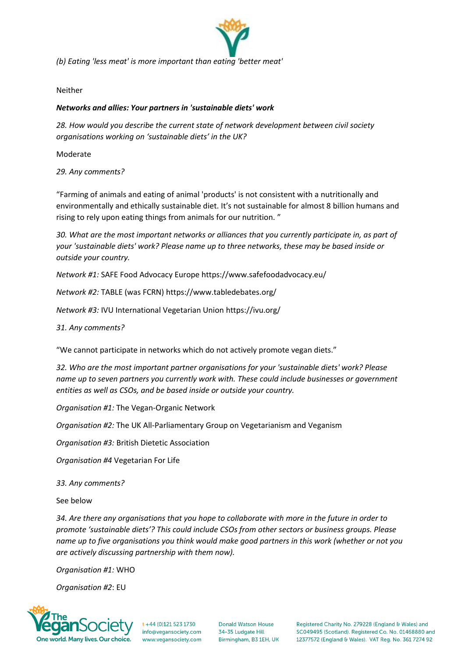

*(b) Eating 'less meat' is more important than eating 'better meat'*

Neither

#### *Networks and allies: Your partners in 'sustainable diets' work*

*28. How would you describe the current state of network development between civil society organisations working on 'sustainable diets' in the UK?* 

Moderate

*29. Any comments?*

"Farming of animals and eating of animal 'products' is not consistent with a nutritionally and environmentally and ethically sustainable diet. It's not sustainable for almost 8 billion humans and rising to rely upon eating things from animals for our nutrition. "

*30. What are the most important networks or alliances that you currently participate in, as part of your 'sustainable diets' work? Please name up to three networks, these may be based inside or outside your country.*

*Network #1:* SAFE Food Advocacy Europe https://www.safefoodadvocacy.eu/

*Network #2:* TABLE (was FCRN) https://www.tabledebates.org/

*Network #3:* IVU International Vegetarian Union https://ivu.org/

*31. Any comments?*

"We cannot participate in networks which do not actively promote vegan diets."

*32. Who are the most important partner organisations for your 'sustainable diets' work? Please name up to seven partners you currently work with. These could include businesses or government entities as well as CSOs, and be based inside or outside your country.*

*Organisation #1:* The Vegan-Organic Network

*Organisation #2:* The UK All-Parliamentary Group on Vegetarianism and Veganism

*Organisation #3:* British Dietetic Association

*Organisation #4* Vegetarian For Life

*33. Any comments?*

See below

*34. Are there any organisations that you hope to collaborate with more in the future in order to promote 'sustainable diets'? This could include CSOs from other sectors or business groups. Please name up to five organisations you think would make good partners in this work (whether or not you are actively discussing partnership with them now).*

*Organisation #1:* WHO

*Organisation #2*: EU



 $t + 44$  (0)121 523 1730 info@vegansociety.com www.vegansociety.com

**Donald Watson House** 34-35 Ludgate Hill Birmingham, B3 1EH, UK